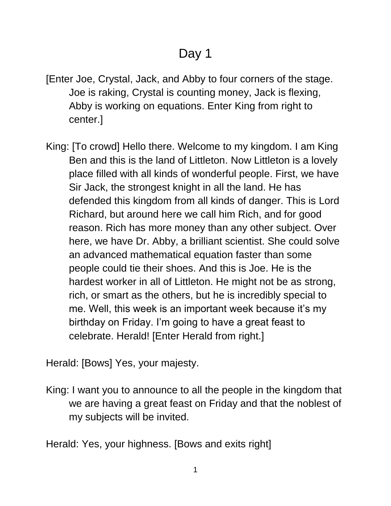## Day 1

- [Enter Joe, Crystal, Jack, and Abby to four corners of the stage. Joe is raking, Crystal is counting money, Jack is flexing, Abby is working on equations. Enter King from right to center.]
- King: [To crowd] Hello there. Welcome to my kingdom. I am King Ben and this is the land of Littleton. Now Littleton is a lovely place filled with all kinds of wonderful people. First, we have Sir Jack, the strongest knight in all the land. He has defended this kingdom from all kinds of danger. This is Lord Richard, but around here we call him Rich, and for good reason. Rich has more money than any other subject. Over here, we have Dr. Abby, a brilliant scientist. She could solve an advanced mathematical equation faster than some people could tie their shoes. And this is Joe. He is the hardest worker in all of Littleton. He might not be as strong, rich, or smart as the others, but he is incredibly special to me. Well, this week is an important week because it's my birthday on Friday. I'm going to have a great feast to celebrate. Herald! [Enter Herald from right.]

Herald: [Bows] Yes, your majesty.

King: I want you to announce to all the people in the kingdom that we are having a great feast on Friday and that the noblest of my subjects will be invited.

Herald: Yes, your highness. [Bows and exits right]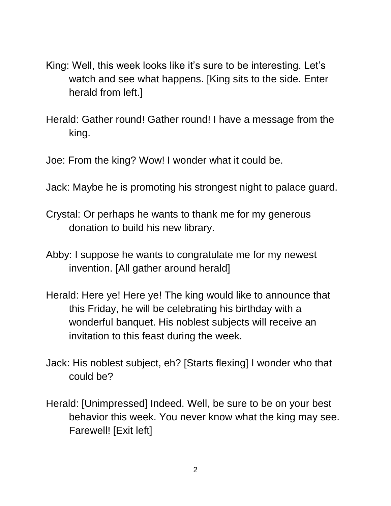- King: Well, this week looks like it's sure to be interesting. Let's watch and see what happens. [King sits to the side. Enter herald from left.]
- Herald: Gather round! Gather round! I have a message from the king.
- Joe: From the king? Wow! I wonder what it could be.
- Jack: Maybe he is promoting his strongest night to palace guard.
- Crystal: Or perhaps he wants to thank me for my generous donation to build his new library.
- Abby: I suppose he wants to congratulate me for my newest invention. [All gather around herald]
- Herald: Here ye! Here ye! The king would like to announce that this Friday, he will be celebrating his birthday with a wonderful banquet. His noblest subjects will receive an invitation to this feast during the week.
- Jack: His noblest subject, eh? [Starts flexing] I wonder who that could be?
- Herald: [Unimpressed] Indeed. Well, be sure to be on your best behavior this week. You never know what the king may see. Farewell! [Exit left]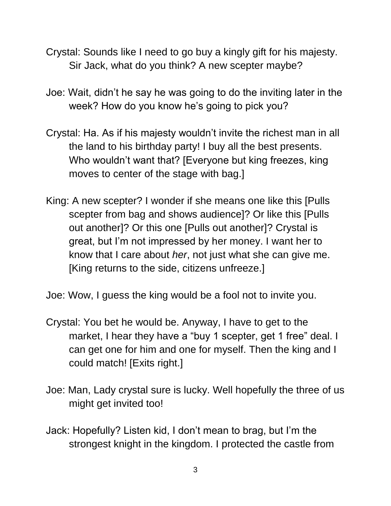- Crystal: Sounds like I need to go buy a kingly gift for his majesty. Sir Jack, what do you think? A new scepter maybe?
- Joe: Wait, didn't he say he was going to do the inviting later in the week? How do you know he's going to pick you?
- Crystal: Ha. As if his majesty wouldn't invite the richest man in all the land to his birthday party! I buy all the best presents. Who wouldn't want that? [Everyone but king freezes, king moves to center of the stage with bag.]
- King: A new scepter? I wonder if she means one like this [Pulls scepter from bag and shows audience]? Or like this [Pulls out another]? Or this one [Pulls out another]? Crystal is great, but I'm not impressed by her money. I want her to know that I care about *her*, not just what she can give me. [King returns to the side, citizens unfreeze.]

Joe: Wow, I guess the king would be a fool not to invite you.

- Crystal: You bet he would be. Anyway, I have to get to the market, I hear they have a "buy 1 scepter, get 1 free" deal. I can get one for him and one for myself. Then the king and I could match! [Exits right.]
- Joe: Man, Lady crystal sure is lucky. Well hopefully the three of us might get invited too!
- Jack: Hopefully? Listen kid, I don't mean to brag, but I'm the strongest knight in the kingdom. I protected the castle from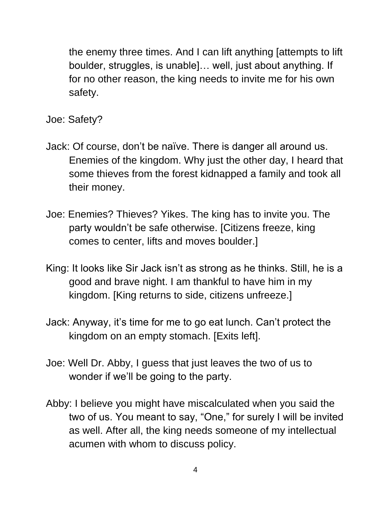the enemy three times. And I can lift anything [attempts to lift boulder, struggles, is unable]… well, just about anything. If for no other reason, the king needs to invite me for his own safety.

- Joe: Safety?
- Jack: Of course, don't be naïve. There is danger all around us. Enemies of the kingdom. Why just the other day, I heard that some thieves from the forest kidnapped a family and took all their money.
- Joe: Enemies? Thieves? Yikes. The king has to invite you. The party wouldn't be safe otherwise. [Citizens freeze, king comes to center, lifts and moves boulder.]
- King: It looks like Sir Jack isn't as strong as he thinks. Still, he is a good and brave night. I am thankful to have him in my kingdom. [King returns to side, citizens unfreeze.]
- Jack: Anyway, it's time for me to go eat lunch. Can't protect the kingdom on an empty stomach. [Exits left].
- Joe: Well Dr. Abby, I guess that just leaves the two of us to wonder if we'll be going to the party.
- Abby: I believe you might have miscalculated when you said the two of us. You meant to say, "One," for surely I will be invited as well. After all, the king needs someone of my intellectual acumen with whom to discuss policy.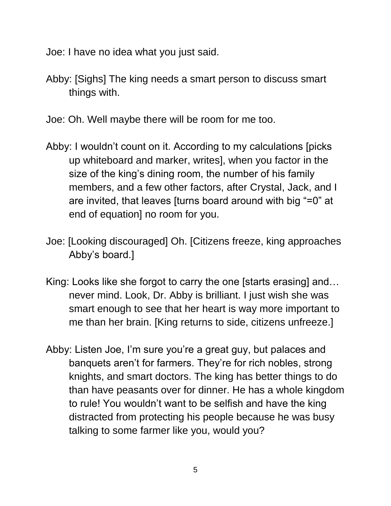Joe: I have no idea what you just said.

- Abby: [Sighs] The king needs a smart person to discuss smart things with.
- Joe: Oh. Well maybe there will be room for me too.
- Abby: I wouldn't count on it. According to my calculations [picks up whiteboard and marker, writes], when you factor in the size of the king's dining room, the number of his family members, and a few other factors, after Crystal, Jack, and I are invited, that leaves [turns board around with big "=0" at end of equation] no room for you.
- Joe: [Looking discouraged] Oh. [Citizens freeze, king approaches Abby's board.]
- King: Looks like she forgot to carry the one [starts erasing] and… never mind. Look, Dr. Abby is brilliant. I just wish she was smart enough to see that her heart is way more important to me than her brain. [King returns to side, citizens unfreeze.]
- Abby: Listen Joe, I'm sure you're a great guy, but palaces and banquets aren't for farmers. They're for rich nobles, strong knights, and smart doctors. The king has better things to do than have peasants over for dinner. He has a whole kingdom to rule! You wouldn't want to be selfish and have the king distracted from protecting his people because he was busy talking to some farmer like you, would you?